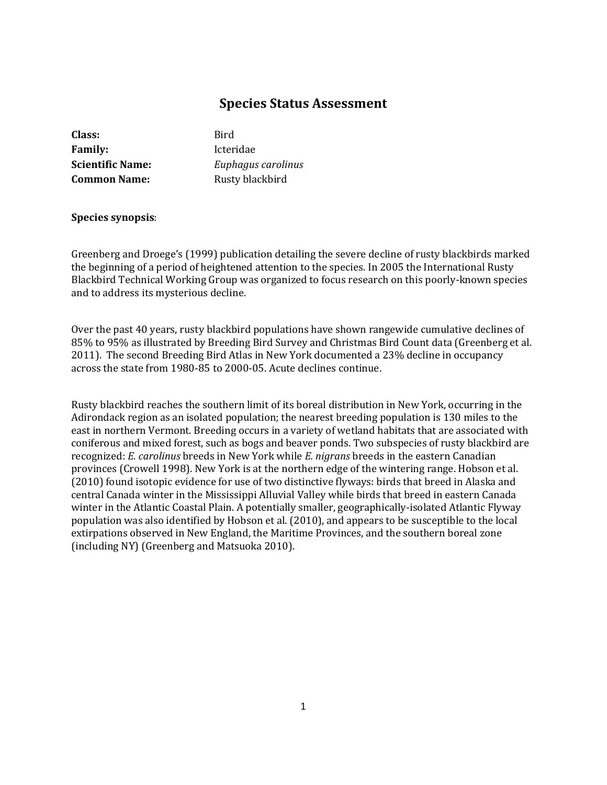## **Species Status Assessment**

| Class:                  | Bird  |
|-------------------------|-------|
| <b>Family:</b>          | Icter |
| <b>Scientific Name:</b> | Eupl  |
| <b>Common Name:</b>     | Rust  |

**Family:** Icteridae **Scientific Name:** *Euphagus carolinus* **Rusty blackbird** 

## **Species synopsis**:

Greenberg and Droege's (1999) publication detailing the severe decline of rusty blackbirds marked the beginning of a period of heightened attention to the species. In 2005 the International Rusty Blackbird Technical Working Group was organized to focus research on this poorly-known species and to address its mysterious decline.

Over the past 40 years, rusty blackbird populations have shown rangewide cumulative declines of 85% to 95% as illustrated by Breeding Bird Survey and Christmas Bird Count data (Greenberg et al. 2011). The second Breeding Bird Atlas in New York documented a 23% decline in occupancy across the state from 1980-85 to 2000-05. Acute declines continue.

Rusty blackbird reaches the southern limit of its boreal distribution in New York, occurring in the Adirondack region as an isolated population; the nearest breeding population is 130 miles to the east in northern Vermont. Breeding occurs in a variety of wetland habitats that are associated with coniferous and mixed forest, such as bogs and beaver ponds. Two subspecies of rusty blackbird are recognized: *E. carolinus* breeds in New York while *E. nigrans* breeds in the eastern Canadian provinces (Crowell 1998). New York is at the northern edge of the wintering range. Hobson et al. (2010) found isotopic evidence for use of two distinctive flyways: birds that breed in Alaska and central Canada winter in the Mississippi Alluvial Valley while birds that breed in eastern Canada winter in the Atlantic Coastal Plain. A potentially smaller, geographically-isolated Atlantic Flyway population was also identified by Hobson et al. (2010), and appears to be susceptible to the local extirpations observed in New England, the Maritime Provinces, and the southern boreal zone (including NY) (Greenberg and Matsuoka 2010).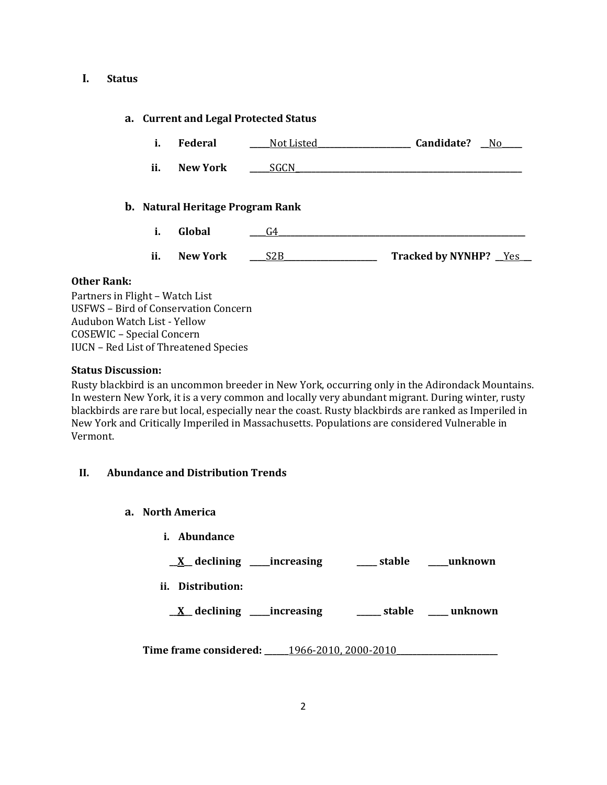#### **I. Status**

#### **a. Current and Legal Protected Status**

- **i. Federal Not Listed Candidate?** No
- **ii. New York** <u>\_\_\_\_SGCN \_\_\_\_\_\_\_\_\_\_</u>

#### **b. Natural Heritage Program Rank**

- **i. Global \_\_\_\_**G4**\_\_\_\_\_\_\_\_\_\_\_\_\_\_\_\_\_\_\_\_\_\_\_\_\_\_\_\_\_\_\_\_\_\_\_\_\_\_\_\_\_\_\_\_\_\_\_\_\_\_\_\_\_\_\_\_\_\_\_\_\_**
- **ii. New York \_\_\_\_**S2B**\_\_\_\_\_\_\_\_\_\_\_\_\_\_\_\_\_\_\_\_\_\_\_ Tracked by NYNHP? \_\_**Yes\_**\_\_**

#### **Other Rank:**

Partners in Flight – Watch List USFWS – Bird of Conservation Concern Audubon Watch List - Yellow COSEWIC – Special Concern IUCN – Red List of Threatened Species

#### **Status Discussion:**

Rusty blackbird is an uncommon breeder in New York, occurring only in the Adirondack Mountains. In western New York, it is a very common and locally very abundant migrant. During winter, rusty blackbirds are rare but local, especially near the coast. Rusty blackbirds are ranked as Imperiled in New York and Critically Imperiled in Massachusetts. Populations are considered Vulnerable in Vermont.

## **II. Abundance and Distribution Trends**

- **a. North America**
	- **i. Abundance**

**\_\_X\_\_ declining \_\_\_\_\_increasing \_\_\_\_\_ stable \_\_\_\_\_unknown**

**ii. Distribution:**

**\_\_X\_\_ declining \_\_\_\_\_increasing \_\_\_\_\_\_ stable \_\_\_\_\_ unknown**

**Time frame considered: \_\_\_\_\_\_**1966-2010, 2000-2010**\_\_\_\_\_\_\_\_\_\_\_\_\_\_\_\_\_\_\_\_\_\_\_\_\_**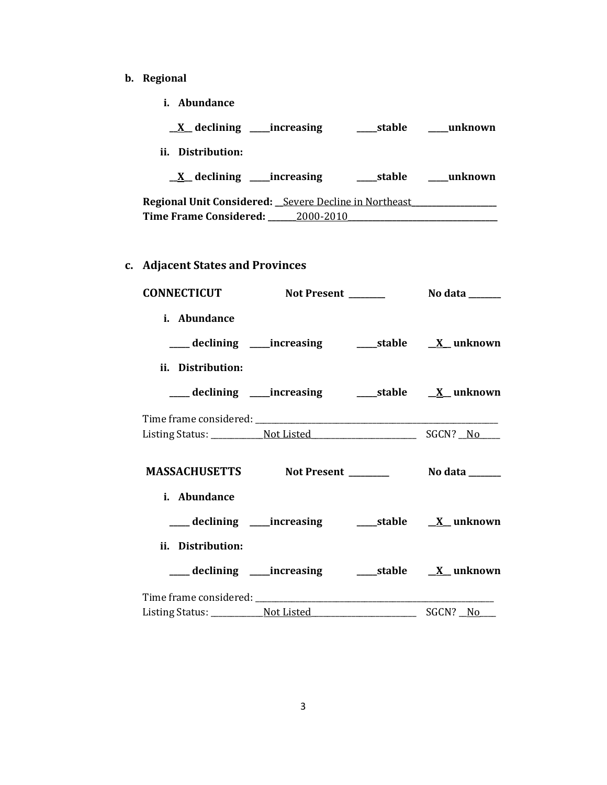- **b. Regional** 
	- **i. Abundance**

| $\underline{X}$ declining ______ increasing             | stable | unknown |
|---------------------------------------------------------|--------|---------|
| ii. Distribution:                                       |        |         |
| $X$ declining ______ increasing                         | stable | unknown |
| Regional Unit Considered: _Severe Decline in Northeast_ |        |         |
| Time Frame Considered: 2000-2010                        |        |         |

# **c. Adjacent States and Provinces**

| <b>CONNECTICUT</b> |                                                                  |  |
|--------------------|------------------------------------------------------------------|--|
| i. Abundance       |                                                                  |  |
|                    | ___ declining ____increasing _______stable ___ <u>X</u> _unknown |  |
| ii. Distribution:  |                                                                  |  |
|                    |                                                                  |  |
|                    |                                                                  |  |
|                    |                                                                  |  |
|                    |                                                                  |  |
| i. Abundance       |                                                                  |  |
| ii. Distribution:  |                                                                  |  |
|                    |                                                                  |  |
|                    |                                                                  |  |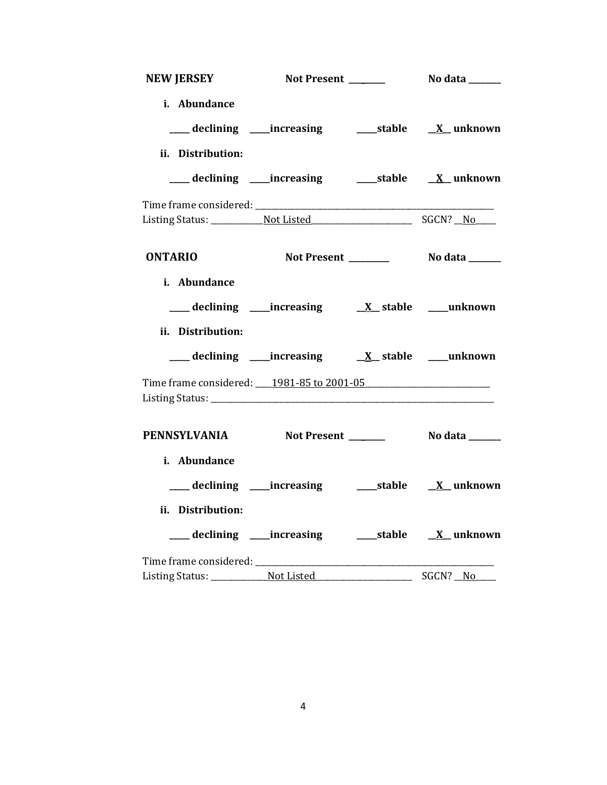| NEW JERSEY Not Present ________ No data ______ |                                                          |                 |
|------------------------------------------------|----------------------------------------------------------|-----------------|
| i. Abundance                                   |                                                          |                 |
| ii. Distribution:                              |                                                          |                 |
|                                                |                                                          |                 |
|                                                |                                                          |                 |
| <b>ONTARIO</b>                                 |                                                          |                 |
| i. Abundance<br>ii. Distribution:              |                                                          |                 |
|                                                |                                                          |                 |
| Time frame considered: 1981-85 to 2001-05      |                                                          |                 |
| PENNSYLVANIA Not Present _______               |                                                          | No data _______ |
| i. Abundance                                   | ___ declining ____increasing ______stable ___ X__unknown |                 |
| ii. Distribution:                              | declining ____increasing ______stable <u>X</u> _unknown  |                 |
|                                                |                                                          |                 |
|                                                |                                                          | $SGCN?$ No      |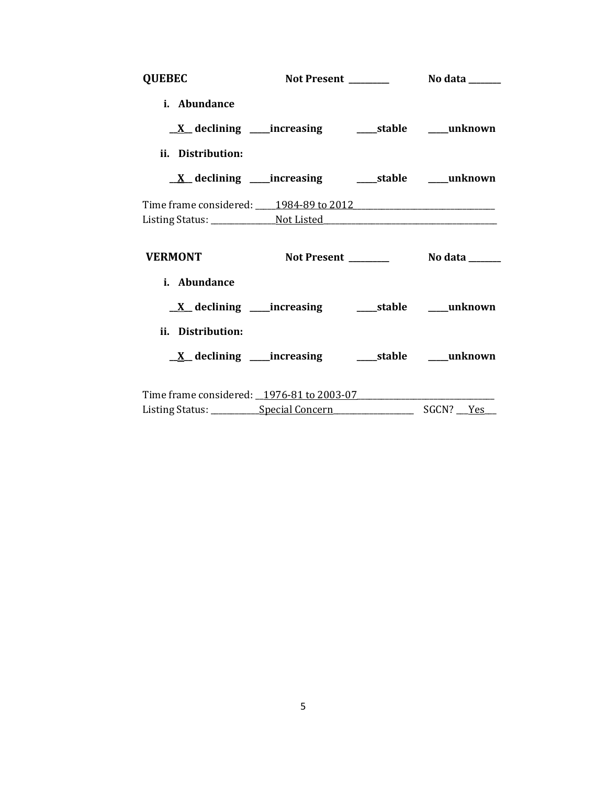| <b>QUEBEC</b>     |                                                             |  |
|-------------------|-------------------------------------------------------------|--|
| i. Abundance      |                                                             |  |
|                   | <u>X</u> declining ____increasing ______stable _____unknown |  |
| ii. Distribution: |                                                             |  |
|                   |                                                             |  |
|                   | Time frame considered: 1984-89 to 2012                      |  |
|                   |                                                             |  |
|                   | VERMONT Not Present ________ No data ______                 |  |
| i. Abundance      |                                                             |  |
|                   | <u>X</u> declining ____increasing _______stable ____unknown |  |
| ii. Distribution: |                                                             |  |
|                   |                                                             |  |
|                   |                                                             |  |
|                   |                                                             |  |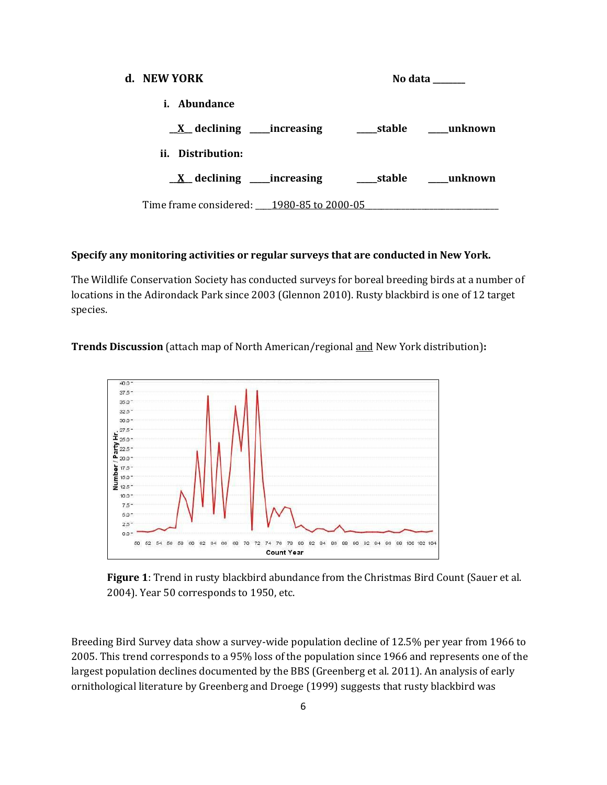| d. NEW YORK                                   |  | No data        |
|-----------------------------------------------|--|----------------|
| <i>i.</i> Abundance                           |  |                |
| $X$ declining increasing                      |  |                |
| ii. Distribution:                             |  |                |
| $X$ declining increasing                      |  | stable unknown |
| Time frame considered: ___ 1980-85 to 2000-05 |  |                |

## **Specify any monitoring activities or regular surveys that are conducted in New York.**

The Wildlife Conservation Society has conducted surveys for boreal breeding birds at a number of locations in the Adirondack Park since 2003 (Glennon 2010). Rusty blackbird is one of 12 target species.

**Trends Discussion** (attach map of North American/regional and New York distribution)**:**



**Figure 1**: Trend in rusty blackbird abundance from the Christmas Bird Count (Sauer et al. 2004). Year 50 corresponds to 1950, etc.

Breeding Bird Survey data show a survey-wide population decline of 12.5% per year from 1966 to 2005. This trend corresponds to a 95% loss of the population since 1966 and represents one of the largest population declines documented by the BBS (Greenberg et al. 2011). An analysis of early ornithological literature by Greenberg and Droege (1999) suggests that rusty blackbird was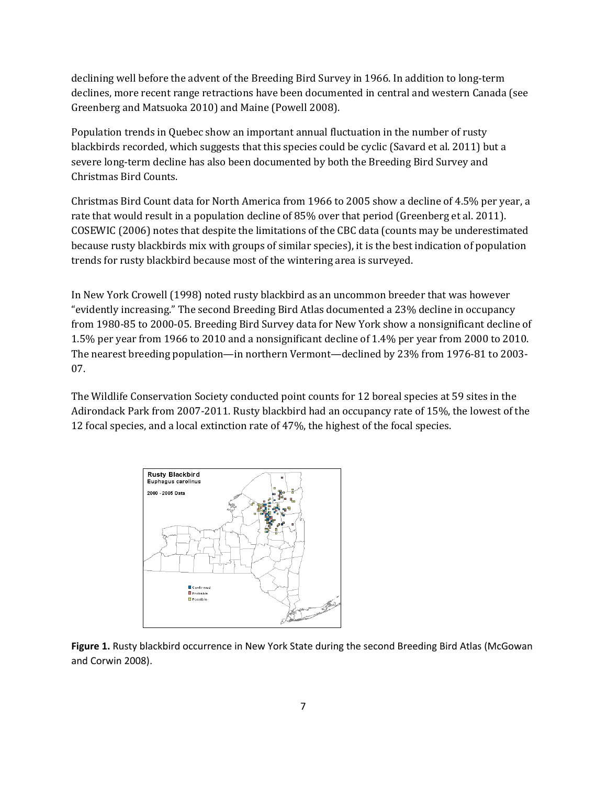declining well before the advent of the Breeding Bird Survey in 1966. In addition to long-term declines, more recent range retractions have been documented in central and western Canada (see Greenberg and Matsuoka 2010) and Maine (Powell 2008).

Population trends in Quebec show an important annual fluctuation in the number of rusty blackbirds recorded, which suggests that this species could be cyclic (Savard et al. 2011) but a severe long-term decline has also been documented by both the Breeding Bird Survey and Christmas Bird Counts.

Christmas Bird Count data for North America from 1966 to 2005 show a decline of 4.5% per year, a rate that would result in a population decline of 85% over that period (Greenberg et al. 2011). COSEWIC (2006) notes that despite the limitations of the CBC data (counts may be underestimated because rusty blackbirds mix with groups of similar species), it is the best indication of population trends for rusty blackbird because most of the wintering area is surveyed.

In New York Crowell (1998) noted rusty blackbird as an uncommon breeder that was however "evidently increasing." The second Breeding Bird Atlas documented a 23% decline in occupancy from 1980-85 to 2000-05. Breeding Bird Survey data for New York show a nonsignificant decline of 1.5% per year from 1966 to 2010 and a nonsignificant decline of 1.4% per year from 2000 to 2010. The nearest breeding population—in northern Vermont—declined by 23% from 1976-81 to 2003- 07.

The Wildlife Conservation Society conducted point counts for 12 boreal species at 59 sites in the Adirondack Park from 2007-2011. Rusty blackbird had an occupancy rate of 15%, the lowest of the 12 focal species, and a local extinction rate of 47%, the highest of the focal species.



**Figure 1.** Rusty blackbird occurrence in New York State during the second Breeding Bird Atlas (McGowan and Corwin 2008).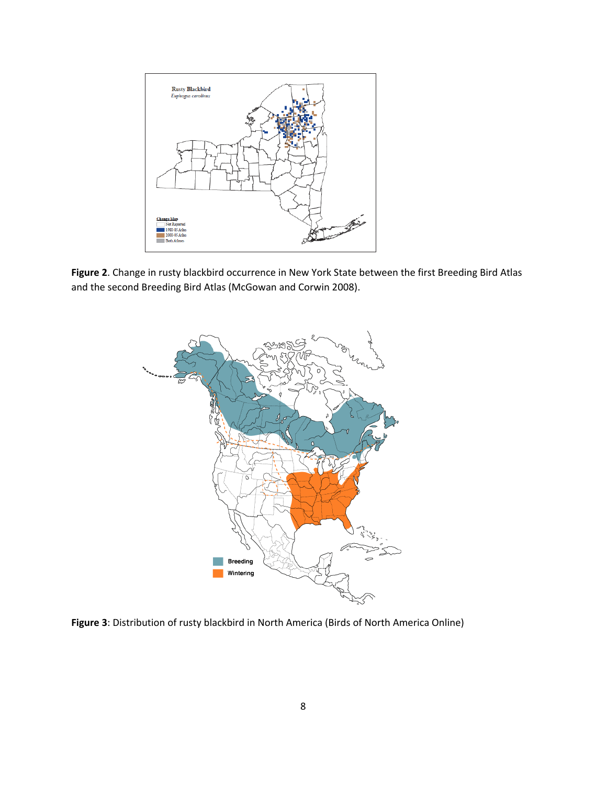

**Figure 2**. Change in rusty blackbird occurrence in New York State between the first Breeding Bird Atlas and the second Breeding Bird Atlas (McGowan and Corwin 2008).



**Figure 3**: Distribution of rusty blackbird in North America (Birds of North America Online)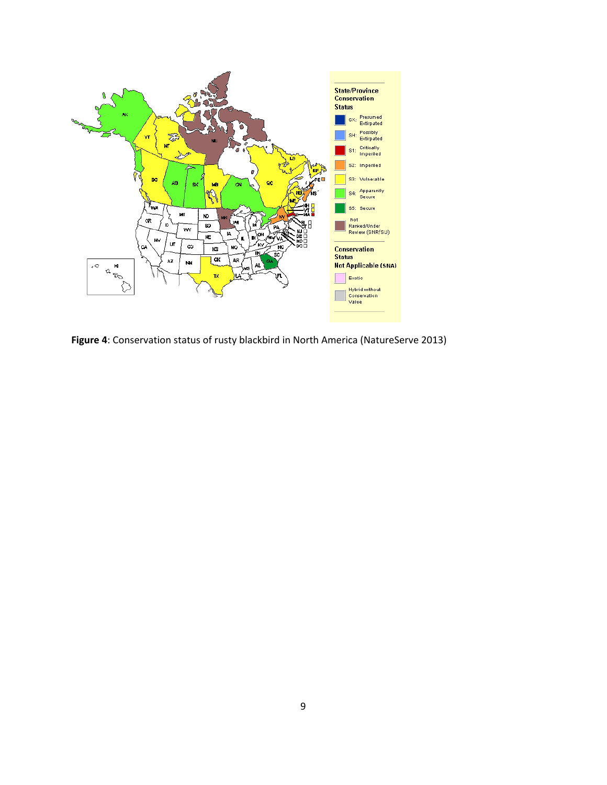

**Figure 4**: Conservation status of rusty blackbird in North America (NatureServe 2013)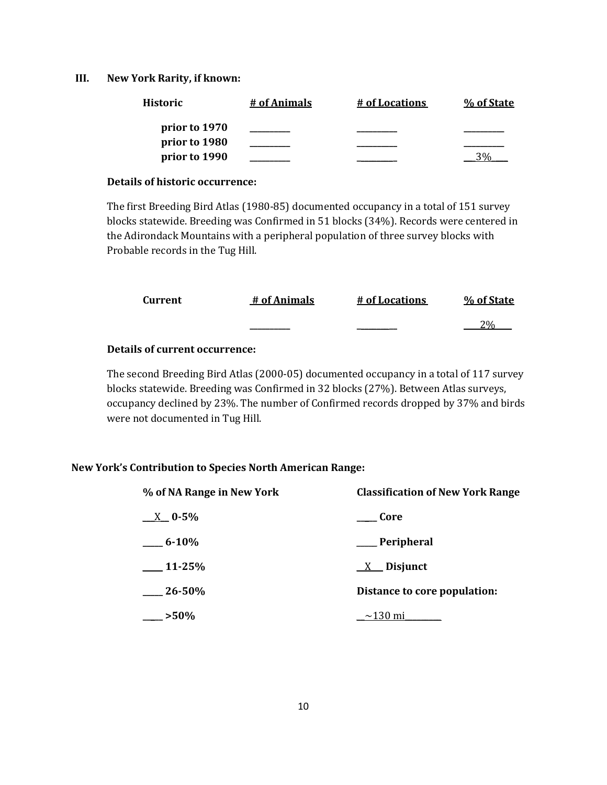#### **III. New York Rarity, if known:**

| <b>Historic</b> | # of Animals | # of Locations | % of State |
|-----------------|--------------|----------------|------------|
| prior to 1970   |              |                |            |
| prior to 1980   |              |                |            |
| prior to 1990   |              |                |            |

#### **Details of historic occurrence:**

The first Breeding Bird Atlas (1980-85) documented occupancy in a total of 151 survey blocks statewide. Breeding was Confirmed in 51 blocks (34%). Records were centered in the Adirondack Mountains with a peripheral population of three survey blocks with Probable records in the Tug Hill.

| Current | # of Animals | # of Locations | % of State |
|---------|--------------|----------------|------------|
|         |              |                | 20/2       |

## **Details of current occurrence:**

The second Breeding Bird Atlas (2000-05) documented occupancy in a total of 117 survey blocks statewide. Breeding was Confirmed in 32 blocks (27%). Between Atlas surveys, occupancy declined by 23%. The number of Confirmed records dropped by 37% and birds were not documented in Tug Hill.

#### **New York's Contribution to Species North American Range:**

| % of NA Range in New York | <b>Classification of New York Range</b> |
|---------------------------|-----------------------------------------|
| $X = 0.5\%$               | Core                                    |
| $6 - 10\%$                | ___Peripheral                           |
| $11 - 25%$                | $X$ Disjunct                            |
| $26 - 50\%$               | Distance to core population:            |
| $>50\%$                   | $\sim$ 130 mi                           |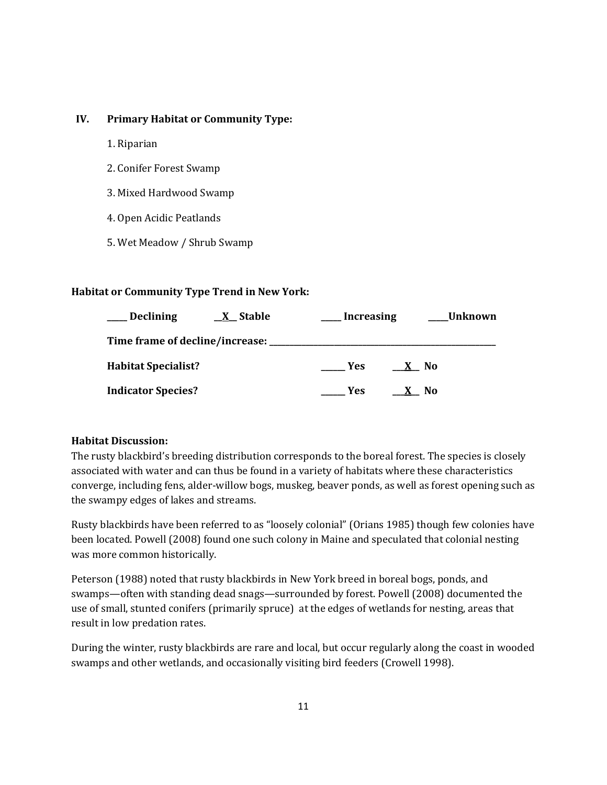## **IV. Primary Habitat or Community Type:**

- 1. Riparian
- 2. Conifer Forest Swamp
- 3. Mixed Hardwood Swamp
- 4. Open Acidic Peatlands
- 5. Wet Meadow / Shrub Swamp

## **Habitat or Community Type Trend in New York:**

| Declining<br>X Stable                    | Increasing<br><b>Unknown</b> |
|------------------------------------------|------------------------------|
| Time frame of decline/increase: ________ |                              |
| <b>Habitat Specialist?</b>               | Yes.<br>X No                 |
| <b>Indicator Species?</b>                | Yes<br>No                    |

## **Habitat Discussion:**

The rusty blackbird's breeding distribution corresponds to the boreal forest. The species is closely associated with water and can thus be found in a variety of habitats where these characteristics converge, including fens, alder-willow bogs, muskeg, beaver ponds, as well as forest opening such as the swampy edges of lakes and streams.

Rusty blackbirds have been referred to as "loosely colonial" (Orians 1985) though few colonies have been located. Powell (2008) found one such colony in Maine and speculated that colonial nesting was more common historically.

Peterson (1988) noted that rusty blackbirds in New York breed in boreal bogs, ponds, and swamps—often with standing dead snags—surrounded by forest. Powell (2008) documented the use of small, stunted conifers (primarily spruce) at the edges of wetlands for nesting, areas that result in low predation rates.

During the winter, rusty blackbirds are rare and local, but occur regularly along the coast in wooded swamps and other wetlands, and occasionally visiting bird feeders (Crowell 1998).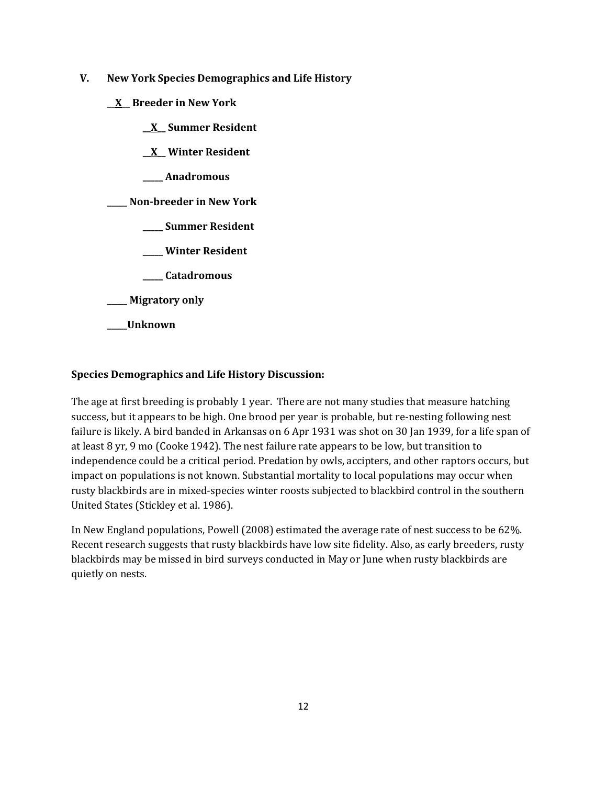- **V. New York Species Demographics and Life History**
	- **\_\_X\_\_ Breeder in New York**
		- **\_\_X\_\_ Summer Resident**
		- **\_\_X\_\_ Winter Resident**
		- **\_\_\_\_\_ Anadromous**

**\_\_\_\_\_ Non-breeder in New York**

- **\_\_\_\_\_ Summer Resident**
- **\_\_\_\_\_ Winter Resident**
- **\_\_\_\_\_ Catadromous**
- **\_\_\_\_\_ Migratory only**
- **\_\_\_\_\_Unknown**

## **Species Demographics and Life History Discussion:**

The age at first breeding is probably 1 year. There are not many studies that measure hatching success, but it appears to be high. One brood per year is probable, but re-nesting following nest failure is likely. A bird banded in Arkansas on 6 Apr 1931 was shot on 30 Jan 1939, for a life span of at least 8 yr, 9 mo (Cooke 1942). The nest failure rate appears to be low, but transition to independence could be a critical period. Predation by owls, accipters, and other raptors occurs, but impact on populations is not known. Substantial mortality to local populations may occur when rusty blackbirds are in mixed-species winter roosts subjected to blackbird control in the southern United States (Stickley et al. 1986).

In New England populations, Powell (2008) estimated the average rate of nest success to be 62%. Recent research suggests that rusty blackbirds have low site fidelity. Also, as early breeders, rusty blackbirds may be missed in bird surveys conducted in May or June when rusty blackbirds are quietly on nests.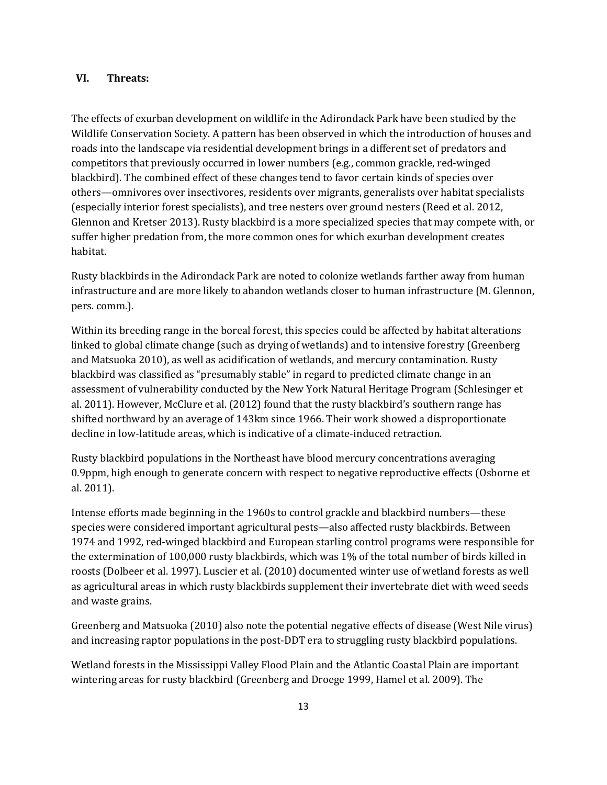#### **VI. Threats:**

The effects of exurban development on wildlife in the Adirondack Park have been studied by the Wildlife Conservation Society. A pattern has been observed in which the introduction of houses and roads into the landscape via residential development brings in a different set of predators and competitors that previously occurred in lower numbers (e.g., common grackle, red-winged blackbird). The combined effect of these changes tend to favor certain kinds of species over others—omnivores over insectivores, residents over migrants, generalists over habitat specialists (especially interior forest specialists), and tree nesters over ground nesters (Reed et al. 2012, Glennon and Kretser 2013). Rusty blackbird is a more specialized species that may compete with, or suffer higher predation from, the more common ones for which exurban development creates habitat.

Rusty blackbirds in the Adirondack Park are noted to colonize wetlands farther away from human infrastructure and are more likely to abandon wetlands closer to human infrastructure (M. Glennon, pers. comm.).

Within its breeding range in the boreal forest, this species could be affected by habitat alterations linked to global climate change (such as drying of wetlands) and to intensive forestry (Greenberg and Matsuoka 2010), as well as acidification of wetlands, and mercury contamination. Rusty blackbird was classified as "presumably stable" in regard to predicted climate change in an assessment of vulnerability conducted by the New York Natural Heritage Program (Schlesinger et al. 2011). However, McClure et al. (2012) found that the rusty blackbird's southern range has shifted northward by an average of 143km since 1966. Their work showed a disproportionate decline in low-latitude areas, which is indicative of a climate-induced retraction.

Rusty blackbird populations in the Northeast have blood mercury concentrations averaging 0.9ppm, high enough to generate concern with respect to negative reproductive effects (Osborne et al. 2011).

Intense efforts made beginning in the 1960s to control grackle and blackbird numbers—these species were considered important agricultural pests—also affected rusty blackbirds. Between 1974 and 1992, red-winged blackbird and European starling control programs were responsible for the extermination of 100,000 rusty blackbirds, which was 1% of the total number of birds killed in roosts (Dolbeer et al. 1997). Luscier et al. (2010) documented winter use of wetland forests as well as agricultural areas in which rusty blackbirds supplement their invertebrate diet with weed seeds and waste grains.

Greenberg and Matsuoka (2010) also note the potential negative effects of disease (West Nile virus) and increasing raptor populations in the post-DDT era to struggling rusty blackbird populations.

Wetland forests in the Mississippi Valley Flood Plain and the Atlantic Coastal Plain are important wintering areas for rusty blackbird (Greenberg and Droege 1999, Hamel et al. 2009). The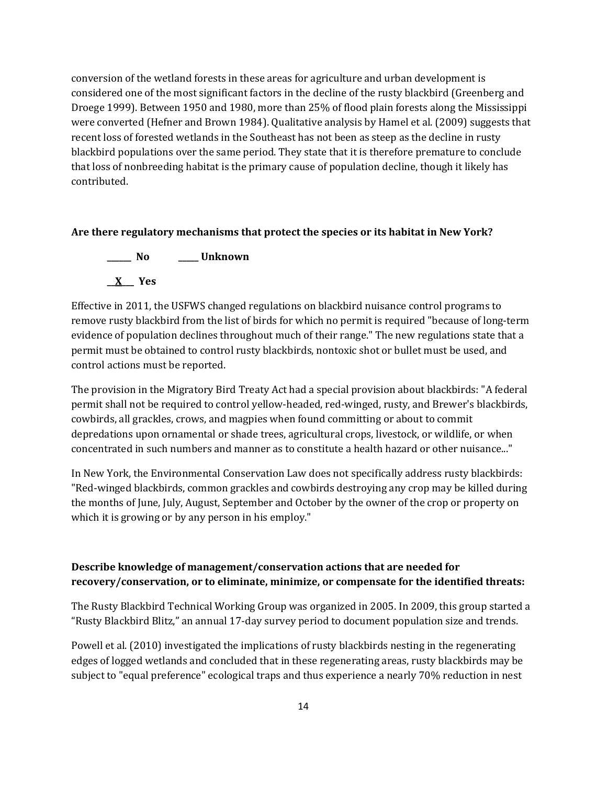conversion of the wetland forests in these areas for agriculture and urban development is considered one of the most significant factors in the decline of the rusty blackbird (Greenberg and Droege 1999). Between 1950 and 1980, more than 25% of flood plain forests along the Mississippi were converted (Hefner and Brown 1984). Qualitative analysis by Hamel et al. (2009) suggests that recent loss of forested wetlands in the Southeast has not been as steep as the decline in rusty blackbird populations over the same period. They state that it is therefore premature to conclude that loss of nonbreeding habitat is the primary cause of population decline, though it likely has contributed.

#### **Are there regulatory mechanisms that protect the species or its habitat in New York?**



Effective in 2011, the USFWS changed regulations on blackbird nuisance control programs to remove rusty blackbird from the list of birds for which no permit is required "because of long-term evidence of population declines throughout much of their range." The new regulations state that a permit must be obtained to control rusty blackbirds, nontoxic shot or bullet must be used, and control actions must be reported.

The provision in the Migratory Bird Treaty Act had a special provision about blackbirds: "A federal permit shall not be required to control yellow-headed, red-winged, rusty, and Brewer's blackbirds, cowbirds, all grackles, crows, and magpies when found committing or about to commit depredations upon ornamental or shade trees, agricultural crops, livestock, or wildlife, or when concentrated in such numbers and manner as to constitute a health hazard or other nuisance..."

In New York, the Environmental Conservation Law does not specifically address rusty blackbirds: "Red-winged blackbirds, common grackles and cowbirds destroying any crop may be killed during the months of June, July, August, September and October by the owner of the crop or property on which it is growing or by any person in his employ."

## **Describe knowledge of management/conservation actions that are needed for recovery/conservation, or to eliminate, minimize, or compensate for the identified threats:**

The Rusty Blackbird Technical Working Group was organized in 2005. In 2009, this group started a "Rusty Blackbird Blitz," an annual 17-day survey period to document population size and trends.

Powell et al. (2010) investigated the implications of rusty blackbirds nesting in the regenerating edges of logged wetlands and concluded that in these regenerating areas, rusty blackbirds may be subject to "equal preference" ecological traps and thus experience a nearly 70% reduction in nest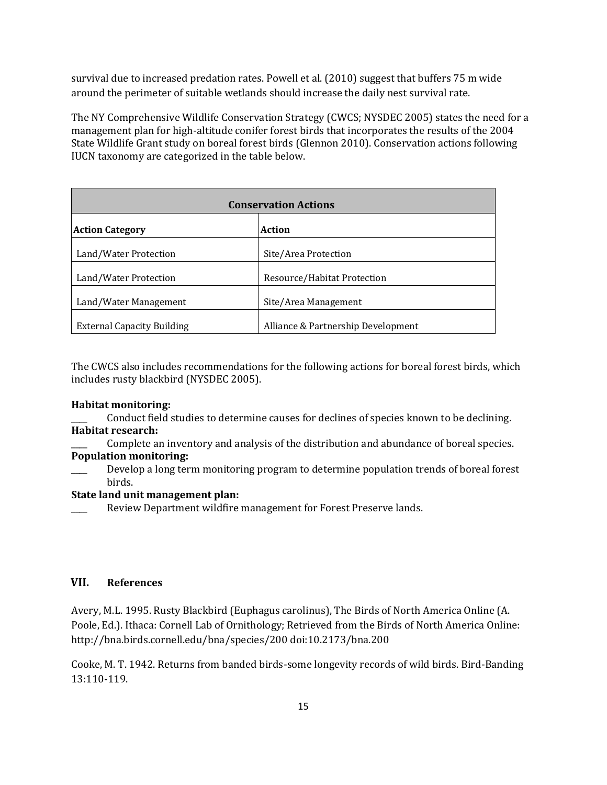survival due to increased predation rates. Powell et al. (2010) suggest that buffers 75 m wide around the perimeter of suitable wetlands should increase the daily nest survival rate.

The NY Comprehensive Wildlife Conservation Strategy (CWCS; NYSDEC 2005) states the need for a management plan for high-altitude conifer forest birds that incorporates the results of the 2004 State Wildlife Grant study on boreal forest birds (Glennon 2010). Conservation actions following IUCN taxonomy are categorized in the table below.

| <b>Conservation Actions</b>       |                                    |  |
|-----------------------------------|------------------------------------|--|
| <b>Action Category</b>            | Action                             |  |
| Land/Water Protection             | Site/Area Protection               |  |
| Land/Water Protection             | Resource/Habitat Protection        |  |
| Land/Water Management             | Site/Area Management               |  |
| <b>External Capacity Building</b> | Alliance & Partnership Development |  |

The CWCS also includes recommendations for the following actions for boreal forest birds, which includes rusty blackbird (NYSDEC 2005).

## **Habitat monitoring:**

\_\_\_\_ Conduct field studies to determine causes for declines of species known to be declining. **Habitat research:**

Complete an inventory and analysis of the distribution and abundance of boreal species.

## **Population monitoring:**

Develop a long term monitoring program to determine population trends of boreal forest birds.

## **State land unit management plan:**

Review Department wildfire management for Forest Preserve lands.

## **VII. References**

Avery, M.L. 1995. Rusty Blackbird (Euphagus carolinus), The Birds of North America Online (A. Poole, Ed.). Ithaca: Cornell Lab of Ornithology; Retrieved from the Birds of North America Online: <http://bna.birds.cornell.edu/bna/species/200> [doi:10.2173/bna.200](http://dx.doi.org/10.2173/bna.200)

Cooke, M. T. 1942. Returns from banded birds-some longevity records of wild birds. Bird-Banding 13:110-119.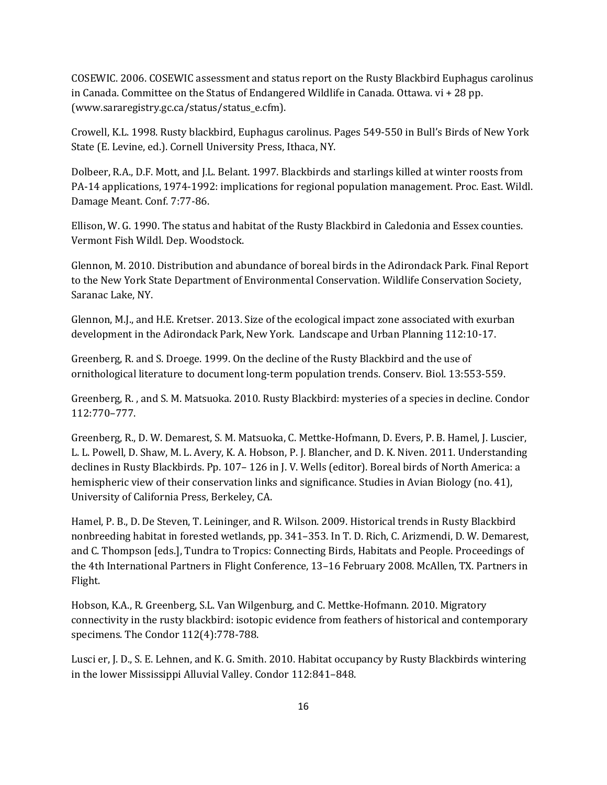COSEWIC. 2006. COSEWIC assessment and status report on the Rusty Blackbird Euphagus carolinus in Canada. Committee on the Status of Endangered Wildlife in Canada. Ottawa. vi + 28 pp. (www.sararegistry.gc.ca/status/status\_e.cfm).

Crowell, K.L. 1998. Rusty blackbird, Euphagus carolinus. Pages 549-550 in Bull's Birds of New York State (E. Levine, ed.). Cornell University Press, Ithaca, NY.

Dolbeer, R.A., D.F. Mott, and J.L. Belant. 1997. Blackbirds and starlings killed at winter roosts from PA-14 applications, 1974-1992: implications for regional population management. Proc. East. Wildl. Damage Meant. Conf. 7:77-86.

Ellison, W. G. 1990. The status and habitat of the Rusty Blackbird in Caledonia and Essex counties. Vermont Fish Wildl. Dep. Woodstock.

Glennon, M. 2010. Distribution and abundance of boreal birds in the Adirondack Park. Final Report to the New York State Department of Environmental Conservation. Wildlife Conservation Society, Saranac Lake, NY.

Glennon, M.J., and H.E. Kretser. 2013. Size of the ecological impact zone associated with exurban development in the Adirondack Park, New York. Landscape and Urban Planning 112:10-17.

Greenberg, R. and S. Droege. 1999. On the decline of the Rusty Blackbird and the use of ornithological literature to document long-term population trends. Conserv. Biol. 13:553-559.

Greenberg, R. , and S. M. Matsuoka. 2010. Rusty Blackbird: mysteries of a species in decline. Condor 112:770–777.

Greenberg, R., D. W. Demarest, S. M. Matsuoka, C. Mettke-Hofmann, D. Evers, P. B. Hamel, J. Luscier, L. L. Powell, D. Shaw, M. L. Avery, K. A. Hobson, P. J. Blancher, and D. K. Niven. 2011. Understanding declines in Rusty Blackbirds. Pp. 107– 126 in J. V. Wells (editor). Boreal birds of North America: a hemispheric view of their conservation links and significance. Studies in Avian Biology (no. 41), University of California Press, Berkeley, CA.

Hamel, P. B., D. De Steven, T. Leininger, and R. Wilson. 2009. Historical trends in Rusty Blackbird nonbreeding habitat in forested wetlands, pp. 341–353. In T. D. Rich, C. Arizmendi, D. W. Demarest, and C. Thompson [eds.], Tundra to Tropics: Connecting Birds, Habitats and People. Proceedings of the 4th International Partners in Flight Conference, 13–16 February 2008. McAllen, TX. Partners in Flight.

Hobson, K.A., R. Greenberg, S.L. Van Wilgenburg, and C. Mettke-Hofmann. 2010. Migratory connectivity in the rusty blackbird: isotopic evidence from feathers of historical and contemporary specimens. The Condor 112(4):778-788.

Lusci er, J. D., S. E. Lehnen, and K. G. Smith. 2010. Habitat occupancy by Rusty Blackbirds wintering in the lower Mississippi Alluvial Valley. Condor 112:841–848.